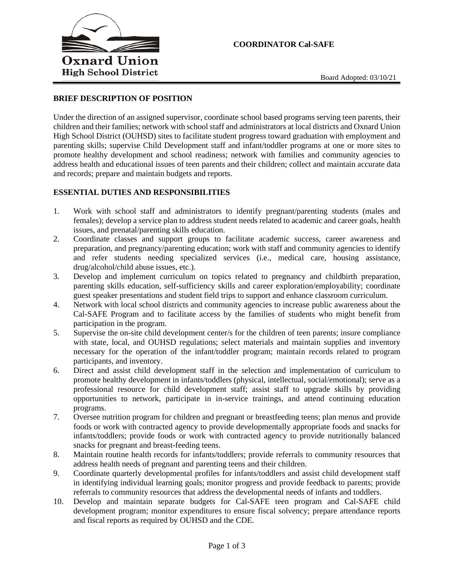

## **BRIEF DESCRIPTION OF POSITION**

Under the direction of an assigned supervisor, coordinate school based programs serving teen parents, their children and their families; network with school staff and administrators at local districts and Oxnard Union High School District (OUHSD) sites to facilitate student progress toward graduation with employment and parenting skills; supervise Child Development staff and infant/toddler programs at one or more sites to promote healthy development and school readiness; network with families and community agencies to address health and educational issues of teen parents and their children; collect and maintain accurate data and records; prepare and maintain budgets and reports.

## **ESSENTIAL DUTIES AND RESPONSIBILITIES**

- 1. Work with school staff and administrators to identify pregnant/parenting students (males and females); develop a service plan to address student needs related to academic and career goals, health issues, and prenatal/parenting skills education.
- 2. Coordinate classes and support groups to facilitate academic success, career awareness and preparation, and pregnancy/parenting education; work with staff and community agencies to identify and refer students needing specialized services (i.e., medical care, housing assistance, drug/alcohol/child abuse issues, etc.).
- 3. Develop and implement curriculum on topics related to pregnancy and childbirth preparation, parenting skills education, self-sufficiency skills and career exploration/employability; coordinate guest speaker presentations and student field trips to support and enhance classroom curriculum.
- 4. Network with local school districts and community agencies to increase public awareness about the Cal-SAFE Program and to facilitate access by the families of students who might benefit from participation in the program.
- 5. Supervise the on-site child development center/s for the children of teen parents; insure compliance with state, local, and OUHSD regulations; select materials and maintain supplies and inventory necessary for the operation of the infant/toddler program; maintain records related to program participants, and inventory.
- 6. Direct and assist child development staff in the selection and implementation of curriculum to promote healthy development in infants/toddlers (physical, intellectual, social/emotional); serve as a professional resource for child development staff; assist staff to upgrade skills by providing opportunities to network, participate in in-service trainings, and attend continuing education programs.
- 7. Oversee nutrition program for children and pregnant or breastfeeding teens; plan menus and provide foods or work with contracted agency to provide developmentally appropriate foods and snacks for infants/toddlers; provide foods or work with contracted agency to provide nutritionally balanced snacks for pregnant and breast-feeding teens.
- 8. Maintain routine health records for infants/toddlers; provide referrals to community resources that address health needs of pregnant and parenting teens and their children.
- 9. Coordinate quarterly developmental profiles for infants/toddlers and assist child development staff in identifying individual learning goals; monitor progress and provide feedback to parents; provide referrals to community resources that address the developmental needs of infants and toddlers.
- 10. Develop and maintain separate budgets for Cal-SAFE teen program and Cal-SAFE child development program; monitor expenditures to ensure fiscal solvency; prepare attendance reports and fiscal reports as required by OUHSD and the CDE.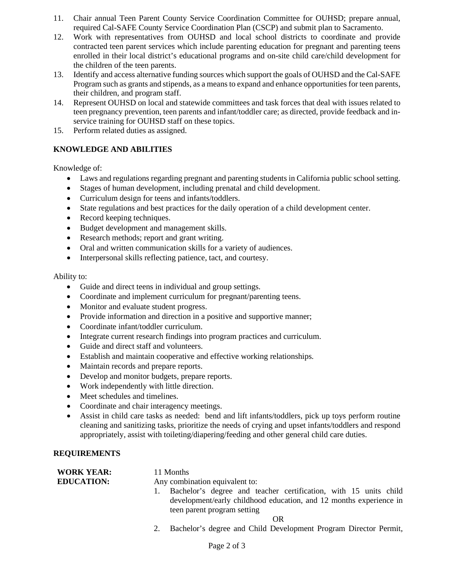- 11. Chair annual Teen Parent County Service Coordination Committee for OUHSD; prepare annual, required Cal-SAFE County Service Coordination Plan (CSCP) and submit plan to Sacramento.
- 12. Work with representatives from OUHSD and local school districts to coordinate and provide contracted teen parent services which include parenting education for pregnant and parenting teens enrolled in their local district's educational programs and on-site child care/child development for the children of the teen parents.
- 13. Identify and access alternative funding sources which support the goals of OUHSD and the Cal-SAFE Program such as grants and stipends, as a means to expand and enhance opportunities for teen parents, their children, and program staff.
- 14. Represent OUHSD on local and statewide committees and task forces that deal with issues related to teen pregnancy prevention, teen parents and infant/toddler care; as directed, provide feedback and inservice training for OUHSD staff on these topics.
- 15. Perform related duties as assigned.

## **KNOWLEDGE AND ABILITIES**

Knowledge of:

- Laws and regulations regarding pregnant and parenting students in California public school setting.
- Stages of human development, including prenatal and child development.
- Curriculum design for teens and infants/toddlers.
- State regulations and best practices for the daily operation of a child development center.
- Record keeping techniques.
- Budget development and management skills.
- Research methods; report and grant writing.
- Oral and written communication skills for a variety of audiences.
- Interpersonal skills reflecting patience, tact, and courtesy.

Ability to:

- Guide and direct teens in individual and group settings.
- Coordinate and implement curriculum for pregnant/parenting teens.
- Monitor and evaluate student progress.
- Provide information and direction in a positive and supportive manner;
- Coordinate infant/toddler curriculum.
- Integrate current research findings into program practices and curriculum.
- Guide and direct staff and volunteers.
- Establish and maintain cooperative and effective working relationships.
- Maintain records and prepare reports.
- Develop and monitor budgets, prepare reports.
- Work independently with little direction.
- Meet schedules and timelines.
- Coordinate and chair interagency meetings.
- Assist in child care tasks as needed: bend and lift infants/toddlers, pick up toys perform routine cleaning and sanitizing tasks, prioritize the needs of crying and upset infants/toddlers and respond appropriately, assist with toileting/diapering/feeding and other general child care duties.

## **REQUIREMENTS**

| <b>WORK YEAR:</b> | 11 Months                                                                                                                                                                |
|-------------------|--------------------------------------------------------------------------------------------------------------------------------------------------------------------------|
| <b>EDUCATION:</b> | Any combination equivalent to:                                                                                                                                           |
|                   | 1. Bachelor's degree and teacher certification, with 15 units child<br>development/early childhood education, and 12 months experience in<br>teen parent program setting |
|                   | OR                                                                                                                                                                       |
|                   | .                                                                                                                                                                        |

2. Bachelor's degree and Child Development Program Director Permit,